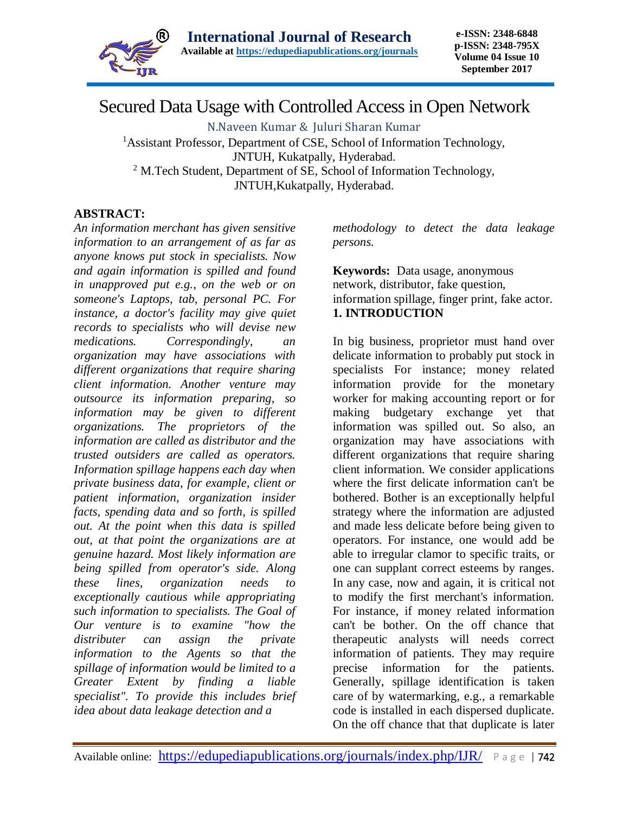

# Secured Data Usage with Controlled Access in Open Network

N.Naveen Kumar & Juluri Sharan Kumar

<sup>1</sup>Assistant Professor, Department of CSE, School of Information Technology, JNTUH, Kukatpally, Hyderabad. <sup>2</sup> M.Tech Student, Department of SE, School of Information Technology, JNTUH,Kukatpally, Hyderabad.

### **ABSTRACT:**

*An information merchant has given sensitive information to an arrangement of as far as anyone knows put stock in specialists. Now and again information is spilled and found in unapproved put e.g., on the web or on someone's Laptops, tab, personal PC. For instance, a doctor's facility may give quiet records to specialists who will devise new medications. Correspondingly, an organization may have associations with different organizations that require sharing client information. Another venture may outsource its information preparing, so information may be given to different organizations. The proprietors of the information are called as distributor and the trusted outsiders are called as operators. Information spillage happens each day when private business data, for example, client or patient information, organization insider facts, spending data and so forth, is spilled out. At the point when this data is spilled out, at that point the organizations are at genuine hazard. Most likely information are being spilled from operator's side. Along these lines, organization needs to exceptionally cautious while appropriating such information to specialists. The Goal of Our venture is to examine "how the distributer can assign the private information to the Agents so that the spillage of information would be limited to a Greater Extent by finding a liable specialist". To provide this includes brief idea about data leakage detection and a* 

*methodology to detect the data leakage persons.*

**Keywords:** Data usage, anonymous network, distributor, fake question, information spillage, finger print, fake actor. **1. INTRODUCTION**

In big business, proprietor must hand over delicate information to probably put stock in specialists For instance; money related information provide for the monetary worker for making accounting report or for making budgetary exchange yet that information was spilled out. So also, an organization may have associations with different organizations that require sharing client information. We consider applications where the first delicate information can't be bothered. Bother is an exceptionally helpful strategy where the information are adjusted and made less delicate before being given to operators. For instance, one would add be able to irregular clamor to specific traits, or one can supplant correct esteems by ranges. In any case, now and again, it is critical not to modify the first merchant's information. For instance, if money related information can't be bother. On the off chance that therapeutic analysts will needs correct information of patients. They may require precise information for the patients. Generally, spillage identification is taken care of by watermarking, e.g., a remarkable code is installed in each dispersed duplicate. On the off chance that that duplicate is later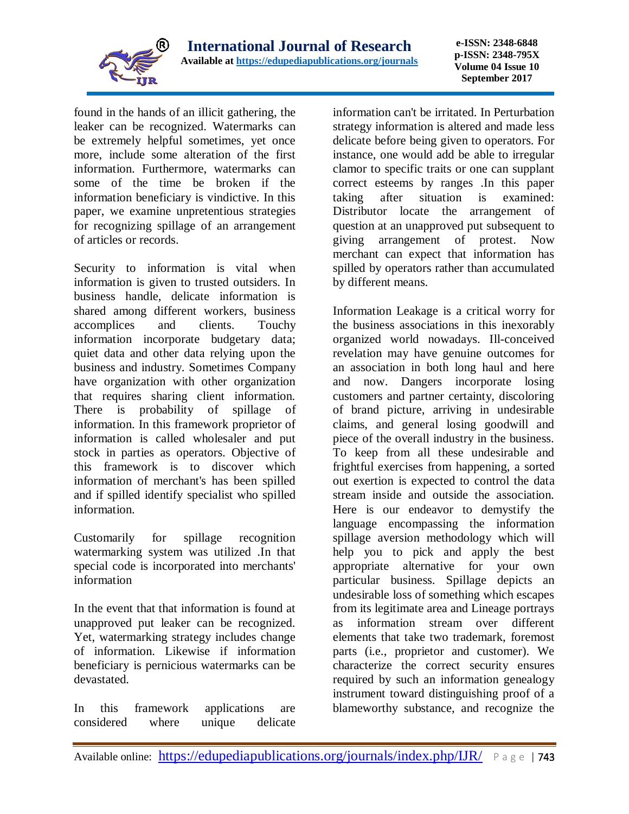

**e-ISSN: 2348-6848 p-ISSN: 2348-795X Volume 04 Issue 10 September 2017**

found in the hands of an illicit gathering, the leaker can be recognized. Watermarks can be extremely helpful sometimes, yet once more, include some alteration of the first information. Furthermore, watermarks can some of the time be broken if the information beneficiary is vindictive. In this paper, we examine unpretentious strategies for recognizing spillage of an arrangement of articles or records.

Security to information is vital when information is given to trusted outsiders. In business handle, delicate information is shared among different workers, business accomplices and clients. Touchy information incorporate budgetary data; quiet data and other data relying upon the business and industry. Sometimes Company have organization with other organization that requires sharing client information. There is probability of spillage of information. In this framework proprietor of information is called wholesaler and put stock in parties as operators. Objective of this framework is to discover which information of merchant's has been spilled and if spilled identify specialist who spilled information.

Customarily for spillage recognition watermarking system was utilized .In that special code is incorporated into merchants' information

In the event that that information is found at unapproved put leaker can be recognized. Yet, watermarking strategy includes change of information. Likewise if information beneficiary is pernicious watermarks can be devastated.

In this framework applications are considered where unique delicate information can't be irritated. In Perturbation strategy information is altered and made less delicate before being given to operators. For instance, one would add be able to irregular clamor to specific traits or one can supplant correct esteems by ranges .In this paper taking after situation is examined: Distributor locate the arrangement of question at an unapproved put subsequent to giving arrangement of protest. Now merchant can expect that information has spilled by operators rather than accumulated by different means.

Information Leakage is a critical worry for the business associations in this inexorably organized world nowadays. Ill-conceived revelation may have genuine outcomes for an association in both long haul and here and now. Dangers incorporate losing customers and partner certainty, discoloring of brand picture, arriving in undesirable claims, and general losing goodwill and piece of the overall industry in the business. To keep from all these undesirable and frightful exercises from happening, a sorted out exertion is expected to control the data stream inside and outside the association. Here is our endeavor to demystify the language encompassing the information spillage aversion methodology which will help you to pick and apply the best appropriate alternative for your own particular business. Spillage depicts an undesirable loss of something which escapes from its legitimate area and Lineage portrays as information stream over different elements that take two trademark, foremost parts (i.e., proprietor and customer). We characterize the correct security ensures required by such an information genealogy instrument toward distinguishing proof of a blameworthy substance, and recognize the

Available online: <https://edupediapublications.org/journals/index.php/IJR/> Page | 743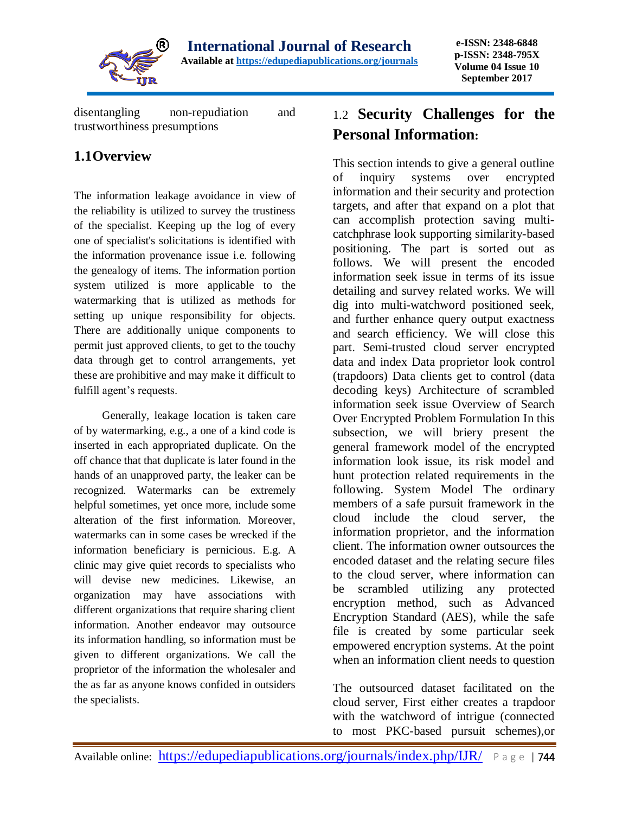

disentangling non-repudiation and trustworthiness presumptions

### **1.1Overview**

The information leakage avoidance in view of the reliability is utilized to survey the trustiness of the specialist. Keeping up the log of every one of specialist's solicitations is identified with the information provenance issue i.e. following the genealogy of items. The information portion system utilized is more applicable to the watermarking that is utilized as methods for setting up unique responsibility for objects. There are additionally unique components to permit just approved clients, to get to the touchy data through get to control arrangements, yet these are prohibitive and may make it difficult to fulfill agent's requests.

 Generally, leakage location is taken care of by watermarking, e.g., a one of a kind code is inserted in each appropriated duplicate. On the off chance that that duplicate is later found in the hands of an unapproved party, the leaker can be recognized. Watermarks can be extremely helpful sometimes, yet once more, include some alteration of the first information. Moreover, watermarks can in some cases be wrecked if the information beneficiary is pernicious. E.g. A clinic may give quiet records to specialists who will devise new medicines. Likewise, an organization may have associations with different organizations that require sharing client information. Another endeavor may outsource its information handling, so information must be given to different organizations. We call the proprietor of the information the wholesaler and the as far as anyone knows confided in outsiders the specialists.

## 1.2 **Security Challenges for the Personal Information:**

This section intends to give a general outline of inquiry systems over encrypted information and their security and protection targets, and after that expand on a plot that can accomplish protection saving multicatchphrase look supporting similarity-based positioning. The part is sorted out as follows. We will present the encoded information seek issue in terms of its issue detailing and survey related works. We will dig into multi-watchword positioned seek, and further enhance query output exactness and search efficiency. We will close this part. Semi-trusted cloud server encrypted data and index Data proprietor look control (trapdoors) Data clients get to control (data decoding keys) Architecture of scrambled information seek issue Overview of Search Over Encrypted Problem Formulation In this subsection, we will briery present the general framework model of the encrypted information look issue, its risk model and hunt protection related requirements in the following. System Model The ordinary members of a safe pursuit framework in the cloud include the cloud server, the information proprietor, and the information client. The information owner outsources the encoded dataset and the relating secure files to the cloud server, where information can be scrambled utilizing any protected encryption method, such as Advanced Encryption Standard (AES), while the safe file is created by some particular seek empowered encryption systems. At the point when an information client needs to question

The outsourced dataset facilitated on the cloud server, First either creates a trapdoor with the watchword of intrigue (connected to most PKC-based pursuit schemes),or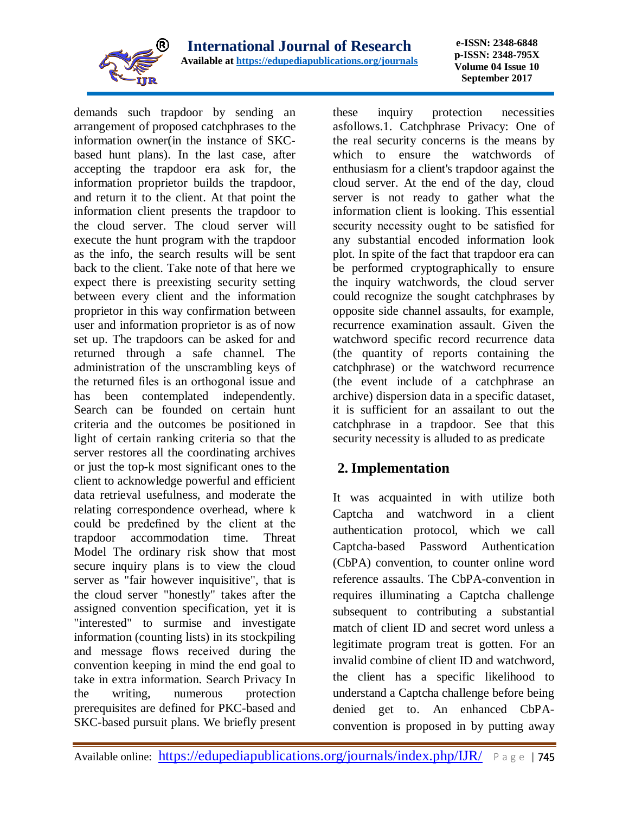

**e-ISSN: 2348-6848 p-ISSN: 2348-795X Volume 04 Issue 10 September 2017**

demands such trapdoor by sending an arrangement of proposed catchphrases to the information owner(in the instance of SKCbased hunt plans). In the last case, after accepting the trapdoor era ask for, the information proprietor builds the trapdoor, and return it to the client. At that point the information client presents the trapdoor to the cloud server. The cloud server will execute the hunt program with the trapdoor as the info, the search results will be sent back to the client. Take note of that here we expect there is preexisting security setting between every client and the information proprietor in this way confirmation between user and information proprietor is as of now set up. The trapdoors can be asked for and returned through a safe channel. The administration of the unscrambling keys of the returned files is an orthogonal issue and has been contemplated independently. Search can be founded on certain hunt criteria and the outcomes be positioned in light of certain ranking criteria so that the server restores all the coordinating archives or just the top-k most significant ones to the client to acknowledge powerful and efficient data retrieval usefulness, and moderate the relating correspondence overhead, where k could be predefined by the client at the trapdoor accommodation time. Threat Model The ordinary risk show that most secure inquiry plans is to view the cloud server as "fair however inquisitive", that is the cloud server "honestly" takes after the assigned convention specification, yet it is "interested" to surmise and investigate information (counting lists) in its stockpiling and message flows received during the convention keeping in mind the end goal to take in extra information. Search Privacy In the writing, numerous protection prerequisites are defined for PKC-based and SKC-based pursuit plans. We briefly present these inquiry protection necessities asfollows.1. Catchphrase Privacy: One of the real security concerns is the means by which to ensure the watchwords of enthusiasm for a client's trapdoor against the cloud server. At the end of the day, cloud server is not ready to gather what the information client is looking. This essential security necessity ought to be satisfied for any substantial encoded information look plot. In spite of the fact that trapdoor era can be performed cryptographically to ensure the inquiry watchwords, the cloud server could recognize the sought catchphrases by opposite side channel assaults, for example, recurrence examination assault. Given the watchword specific record recurrence data (the quantity of reports containing the catchphrase) or the watchword recurrence (the event include of a catchphrase an archive) dispersion data in a specific dataset, it is sufficient for an assailant to out the catchphrase in a trapdoor. See that this security necessity is alluded to as predicate

## **2. Implementation**

It was acquainted in with utilize both Captcha and watchword in a client authentication protocol, which we call Captcha-based Password Authentication (CbPA) convention, to counter online word reference assaults. The CbPA-convention in requires illuminating a Captcha challenge subsequent to contributing a substantial match of client ID and secret word unless a legitimate program treat is gotten. For an invalid combine of client ID and watchword, the client has a specific likelihood to understand a Captcha challenge before being denied get to. An enhanced CbPAconvention is proposed in by putting away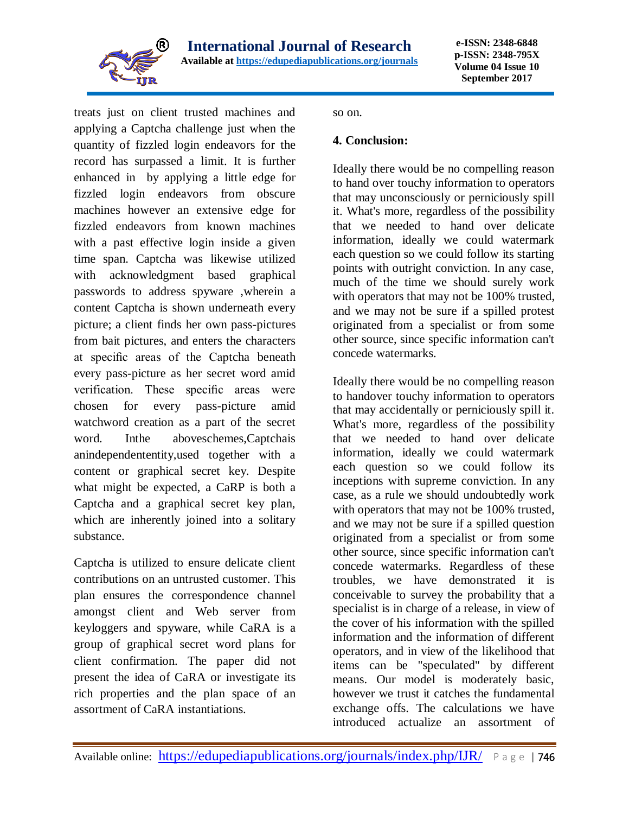

treats just on client trusted machines and applying a Captcha challenge just when the quantity of fizzled login endeavors for the record has surpassed a limit. It is further enhanced in by applying a little edge for fizzled login endeavors from obscure machines however an extensive edge for fizzled endeavors from known machines with a past effective login inside a given time span. Captcha was likewise utilized with acknowledgment based graphical passwords to address spyware ,wherein a content Captcha is shown underneath every picture; a client finds her own pass-pictures from bait pictures, and enters the characters at specific areas of the Captcha beneath every pass-picture as her secret word amid verification. These specific areas were chosen for every pass-picture amid watchword creation as a part of the secret word. Inthe aboveschemes,Captchais anindependententity,used together with a content or graphical secret key. Despite what might be expected, a CaRP is both a Captcha and a graphical secret key plan, which are inherently joined into a solitary substance.

Captcha is utilized to ensure delicate client contributions on an untrusted customer. This plan ensures the correspondence channel amongst client and Web server from keyloggers and spyware, while CaRA is a group of graphical secret word plans for client confirmation. The paper did not present the idea of CaRA or investigate its rich properties and the plan space of an assortment of CaRA instantiations.

so on.

#### **4. Conclusion:**

Ideally there would be no compelling reason to hand over touchy information to operators that may unconsciously or perniciously spill it. What's more, regardless of the possibility that we needed to hand over delicate information, ideally we could watermark each question so we could follow its starting points with outright conviction. In any case, much of the time we should surely work with operators that may not be 100% trusted, and we may not be sure if a spilled protest originated from a specialist or from some other source, since specific information can't concede watermarks.

Ideally there would be no compelling reason to handover touchy information to operators that may accidentally or perniciously spill it. What's more, regardless of the possibility that we needed to hand over delicate information, ideally we could watermark each question so we could follow its inceptions with supreme conviction. In any case, as a rule we should undoubtedly work with operators that may not be 100% trusted, and we may not be sure if a spilled question originated from a specialist or from some other source, since specific information can't concede watermarks. Regardless of these troubles, we have demonstrated it is conceivable to survey the probability that a specialist is in charge of a release, in view of the cover of his information with the spilled information and the information of different operators, and in view of the likelihood that items can be "speculated" by different means. Our model is moderately basic, however we trust it catches the fundamental exchange offs. The calculations we have introduced actualize an assortment of